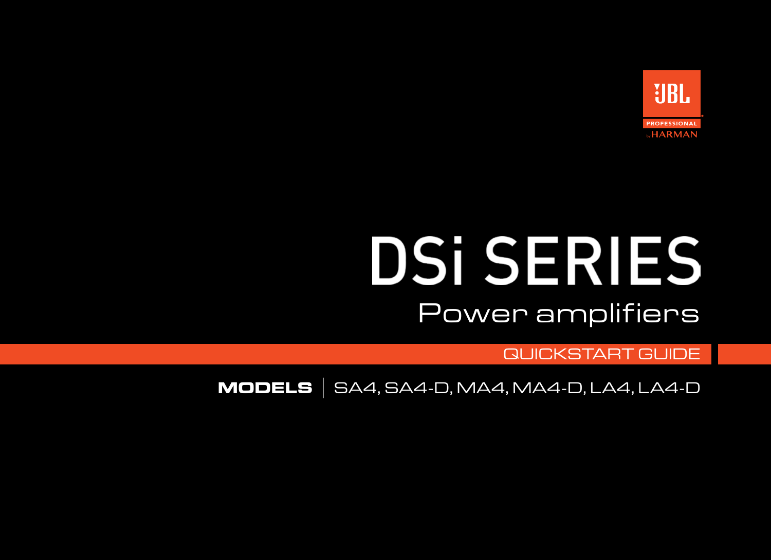

## **DSi SERIES** Power amplifiers

QUICKSTART GUIDE

**MODELS** |SA4, SA4-D, MA4, MA4-D, LA4, LA4-D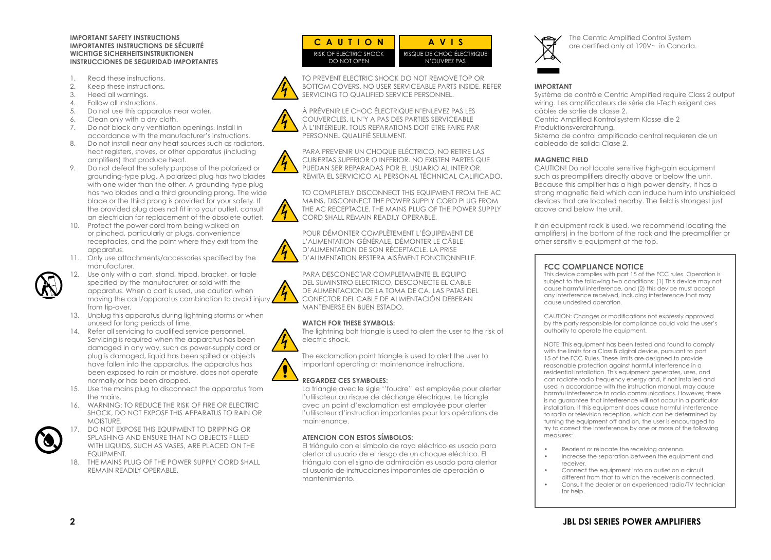#### **IMPORTANT SAFETY INSTRUCTIONS IMPORTANTES INSTRUCTIONS DE SÉCURITÉ WICHTIGE SICHERHEITSINSTRUKTIONEN INSTRUCCIONES DE SEGURIDAD IMPORTANTES**

- 1. Read these instructions.
- 2. Keep these instructions.
- 3. Heed all warnings.
- 4. Follow all instructions.
- 5. Do not use this apparatus near water.
- 6. Clean only with a dry cloth.
- 7. Do not block any ventilation openings. Install in accordance with the manufacturer's instructions.
- 8. Do not install near any heat sources such as radiators, heat registers, stoves, or other apparatus (including amplifiers) that produce heat.
- 9. Do not defeat the safety purpose of the polarized or grounding-type plug. A polarized plug has two blades with one wider than the other. A grounding-type plug has two blades and a third grounding prong. The wide blade or the third prong is provided for your safety. If the provided plug does not fit into your outlet, consult an electrician for replacement of the obsolete outlet.
- 10. Protect the power cord from being walked on or pinched, particularly at plugs, convenience receptacles, and the point where they exit from the apparatus.
- 11. Only use attachments/accessories specified by the manufacturer.
- 12. Use only with a cart, stand, tripod, bracket, or table specified by the manufacturer, or sold with the apparatus. When a cart is used, use caution when moving the cart/apparatus combination to avoid injury from tip-over.
- 13. Unplug this apparatus during lightning storms or when unused for long periods of time.
- 14. Refer all servicing to qualified service personnel. Servicing is required when the apparatus has been damaged in any way, such as power-supply cord or plug is damaged, liquid has been spilled or objects have fallen into the apparatus, the apparatus has been exposed to rain or moisture, does not operate normally,or has been dropped.
- 15. Use the mains plug to disconnect the apparatus from the mains.
- 16. WARNING: TO REDUCE THE RISK OF FIRE OR ELECTRIC SHOCK, DO NOT EXPOSE THIS APPARATUS TO RAIN OR MOISTURE.
- 17. DO NOT EXPOSE THIS EQUIPMENT TO DRIPPING OR SPLASHING AND ENSURE THAT NO OBJECTS FILLED WITH LIQUIDS, SUCH AS VASES, ARE PLACED ON THE EQUIPMENT.
- 18. THE MAINS PLUG OF THE POWER SUPPLY CORD SHALL REMAIN READILY OPERABLE.

| <b>CAUTION</b>         | AVIS                      |
|------------------------|---------------------------|
| RISK OF FLECTRIC SHOCK | RISQUE DE CHOC ÉLECTRIQUE |
| DO NOT OPEN            | N'OUVREZ PAS              |

TO PREVENT ELECTRIC SHOCK DO NOT REMOVE TOP OR BOTTOM COVERS. NO USER SERVICEABLE PARTS INSIDE. REFER SERVICING TO QUALIFIED SERVICE PERSONNEL.

À PRÉVENIR LE CHOC ÉLECTRIQUE N'ENLEVEZ PAS LES COUVERCLES. IL N'Y A PAS DES PARTIES SERVICEABLE À L'INTÉRIEUR. TOUS REPARATIONS DOIT ETRE FAIRE PAR PERSONNEL QUALIFIÉ SEULMENT.

PARA PREVENIR UN CHOQUE ELÉCTRICO, NO RETIRE LAS CUBIERTAS SUPERIOR O INFERIOR. NO EXISTEN PARTES QUE PUEDAN SER REPARADAS POR EL USUARIO AL INTERIOR. REMITA EL SERVICICO AL PERSONAL TÉCHNICAL CALIFICADO.

TO COMPLETELY DISCONNECT THIS EQUIPMENT FROM THE AC MAINS, DISCONNECT THE POWER SUPPLY CORD PLUG FROM THE AC RECEPTACLE. THE MAINS PLUG OF THE POWER SUPPLY CORD SHALL REMAIN READILY OPERABLE.

POUR DÉMONTER COMPLÈTEMENT L'ÉQUIPEMENT DE L'ALIMENTATION GÉNÉRALE, DÉMONTER LE CÂBLE D'ALIMENTATION DE SON RÉCEPTACLE. LA PRISE D'ALIMENTATION RESTERA AISÉMENT FONCTIONNELLE.



 $^{\prime}$ 1

 $^{\prime}$ 4

PARA DESCONECTAR COMPLETAMENTE EL EQUIPO DEL SUMINSTRO ELECTRICO, DESCONECTE EL CABLE DE ALIMENTACION DE LA TOMA DE CA. LAS PATAS DEL CONECTOR DEL CABLE DE ALIMENTACIÓN DEBERAN MANTENERSE EN BUEN ESTADO.

#### **WATCH FOR THESE SYMBOLS:**

The lightning bolt triangle is used to alert the user to the risk of electric shock.

The exclamation point triangle is used to alert the user to important operating or maintenance instructions.

#### **REGARDEZ CES SYMBOLES:**

La triangle avec le sigle ''foudre'' est employée pour alerter l'utilisateur au risque de décharge électrique. Le triangle avec un point d'exclamation est employée pour alerter l'utilisateur d'instruction importantes pour lors opérations de maintenance.

#### **ATENCION CON ESTOS SÍMBOLOS:**

El triángulo con el símbolo de rayo eléctrico es usado para alertar al usuario de el riesgo de un choque eléctrico. El triángulo con el signo de admiración es usado para alertar al usuario de instrucciones importantes de operación o mantenimiento.



The Centric Amplified Control System are certified only at 120V~ in Canada.

#### **IMPORTANT**

Système de contrôle Centric Amplified require Class 2 output wiring. Les amplificateurs de série de I-Tech exigent des câbles de sortie de classe 2. Centric Amplified Kontrollsystem Klasse die 2 Produktionsverdrahtung. Sistema de control amplificado central requieren de un cableado de salida Clase 2.

#### **MAGNETIC FIELD**

CAUTION! Do not locate sensitive high-gain equipment such as preamplifiers directly above or below the unit. Because this amplifier has a high power density, it has a strong magnetic field which can induce hum into unshielded devices that are located nearby. The field is strongest just above and below the unit.

If an equipment rack is used, we recommend locating the amplifiers) in the bottom of the rack and the preamplifier or other sensitiv e equipment at the top.

#### **FCC COMPLIANCE NOTICE**

This device complies with part 15 of the FCC rules. Operation is subject to the following two conditions: (1) This device may not cause harmful interference, and (2) this device must accept any interference received, including interference that may cause undesired operation.

CAUTION: Changes or modifications not expressly approved by the party responsible for compliance could void the user's authority to operate the equipment.

NOTE: This equipment has been tested and found to comply with the limits for a Class B digital device, pursuant to part 15 of the FCC Rules. These limits are designed to provide reasonable protection against harmful interference in a residential installation. This equipment generates, uses, and can radiate radio frequency energy and, if not installed and used in accordance with the instruction manual, may cause harmful interference to radio communications. However, there is no guarantee that interference will not occur in a particular installation. If this equipment does cause harmful interference to radio or television reception, which can be determined by turning the equipment off and on, the user is encouraged to try to correct the interference by one or more of the following measures:

- Reorient or relocate the receiving antenna.
- Increase the separation between the equipment and receiver.
- Connect the equipment into an outlet on a circuit different from that to which the receiver is connected.
- Consult the dealer or an experienced radio/TV technician for help.

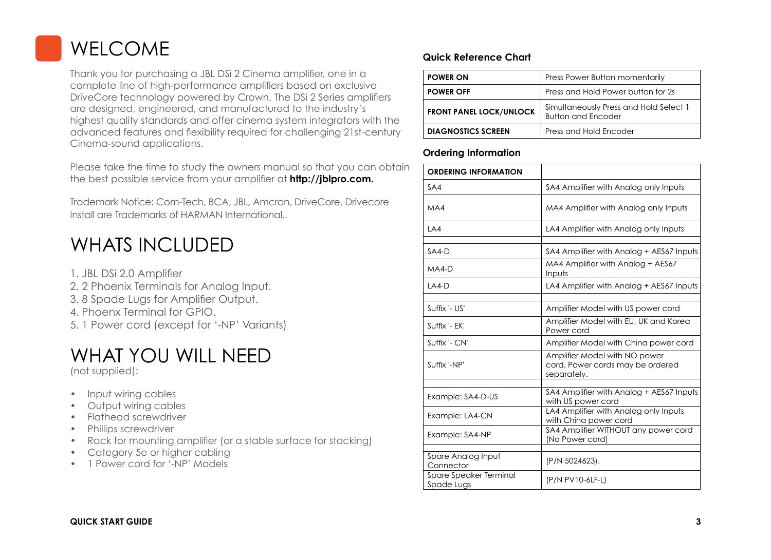## WELCOME

Thank you for purchasing a JBL DSi 2 Cinema amplifier, one in a complete line of high-performance amplifiers based on exclusive DriveCore technology powered by Crown. The DSi 2 Series amplifiers are designed, engineered, and manufactured to the industry's highest quality standards and offer cinema system integrators with the advanced features and flexibility required for challenging 21st-century Cinema-sound applications.

Please take the time to study the owners manual so that you can obtain the best possible service from your amplifier at **http://jblpro.com.**

Trademark Notice: Com-Tech, BCA, JBL, Amcron, DriveCore, Drivecore Install are Trademarks of HARMAN International..

## WHATS INCLUDED

- 1. JBL DSi 2.0 Amplifier
- 2. 2 Phoenix Terminals for Analog Input.
- 3. 8 Spade Lugs for Amplifier Output.
- 4. Phoenx Terminal for GPIO.
- 5. 1 Power cord (except for '-NP' Variants)

## WHAT YOU WILL NEED

(not supplied):

- Input wiring cables
- Output wiring cables
- Flathead screwdriver
- Phillips screwdriver
- Rack for mounting amplifier (or a stable surface for stacking)
- Category 5e or higher cabling
- 1 Power cord for '-NP' Models

#### **Quick Reference Chart**

| <b>POWER ON</b>                | Press Power Button momentarily                                      |
|--------------------------------|---------------------------------------------------------------------|
| <b>POWER OFF</b>               | Press and Hold Power button for 2s                                  |
| <b>FRONT PANEL LOCK/UNLOCK</b> | Simultaneously Press and Hold Select 1<br><b>Button and Encoder</b> |
| <b>DIAGNOSTICS SCREEN</b>      | Press and Hold Encoder                                              |

#### **Ordering Information**

| <b>ORDERING INFORMATION</b>          |                                                                                  |  |
|--------------------------------------|----------------------------------------------------------------------------------|--|
| SA4                                  | SA4 Amplifier with Analog only Inputs                                            |  |
| MA4                                  | MA4 Amplifier with Analog only Inputs                                            |  |
| LA4                                  | LA4 Amplifier with Analog only Inputs                                            |  |
| $SAA-D$                              | SA4 Amplifier with Analog + AES67 Inputs                                         |  |
| $MA4-D$                              | MA4 Amplifier with Analog + AES67<br>Inputs                                      |  |
| $LA4-D$                              | LA4 Amplifier with Analog + AES67 Inputs                                         |  |
| Suffix '- US'                        | Amplifier Model with US power cord                                               |  |
| Suffix '- EK'                        | Amplifier Model with EU, UK and Korea<br>Power cord                              |  |
| Suffix '- CN'                        | Amplifier Model with China power cord                                            |  |
| Suffix '-NP'                         | Amplifier Model with NO power<br>cord. Power cords may be ordered<br>separately. |  |
| Example: SA4-D-US                    | SA4 Amplifier with Analog + AES67 Inputs<br>with US power cord                   |  |
| Example: LA4-CN                      | LA4 Amplifier with Analog only Inputs<br>with China power cord                   |  |
| Example: SA4-NP                      | SA4 Amplifier WITHOUT any power cord<br>(No Power cord)                          |  |
|                                      |                                                                                  |  |
| Spare Analog Input<br>Connector      | (P/N 5024623).                                                                   |  |
| Spare Speaker Terminal<br>Spade Lugs | (P/N PV10-6LF-L)                                                                 |  |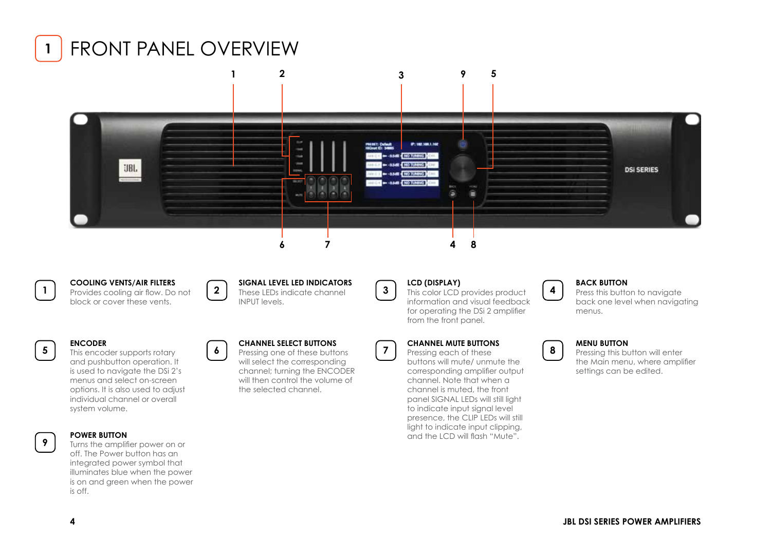



### **1**

**COOLING VENTS/AIR FILTERS** Provides cooling air flow. Do not block or cover these vents.

**2**

**SIGNAL LEVEL LED INDICATORS** These LEDs indicate channel INPUT levels.



**3**

**7**

**LCD (DISPLAY)**

This color LCD provides product information and visual feedback for operating the DSi 2 amplifier from the front panel.



**4**

## **BACK BUTTON**

Press this button to navigate back one level when navigating menus.

#### **5**

**9**

This encoder supports rotary and pushbutton operation. It is used to navigate the DSi 2's menus and select on-screen options. It is also used to adjust individual channel or overall system volume.

#### **POWER BUTTON**

**ENCODER**

Turns the amplifier power on or off. The Power button has an integrated power symbol that illuminates blue when the power is on and green when the power is off.

#### **CHANNEL SELECT BUTTONS 6**

Pressing one of these buttons will select the corresponding channel; turning the ENCODER will then control the volume of the selected channel.

#### **CHANNEL MUTE BUTTONS**

Pressing each of these buttons will mute/ unmute the corresponding amplifier output channel. Note that when a channel is muted, the front panel SIGNAL LEDs will still light to indicate input signal level presence, the CLIP LEDs will still light to indicate input clipping, and the LCD will flash "Mute".

#### **MENU BUTTON 8**

Pressing this button will enter the Main menu, where amplifier settings can be edited.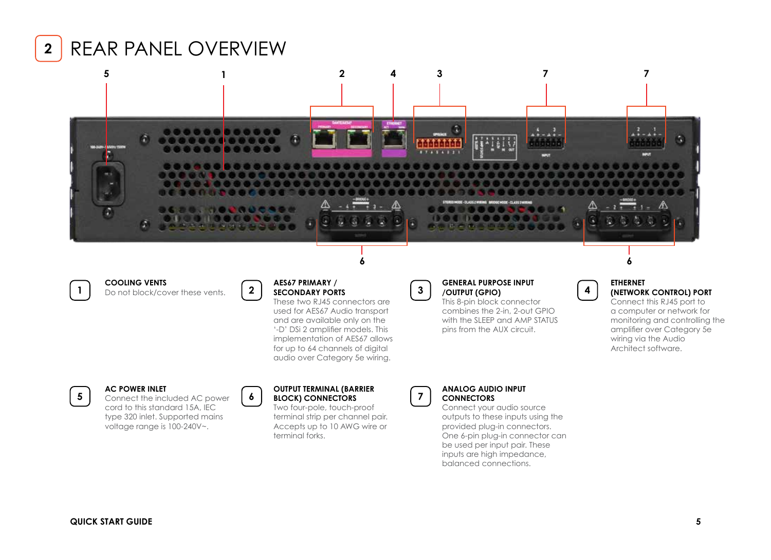

## REAR PANEL OVERVIEW



**COOLING VENTS** Do not block/cover these vents.



**2**

**6**

#### **AES67 PRIMARY / SECONDARY PORTS**

These two RJ45 connectors are used for AES67 Audio transport and are available only on the '-D' DSi 2 amplifier models. This implementation of AES67 allows for up to 64 channels of digital audio over Category 5e wiring.

**3**

#### **GENERAL PURPOSE INPUT /OUTPUT (GPIO)**

This 8-pin block connector combines the 2-in, 2-out GPIO with the SLEEP and AMP STATUS pins from the AUX circuit.

#### **ETHERNET (NETWORK CONTROL) PORT**

**4**

Connect this RJ45 port to a computer or network for monitoring and controlling the amplifier over Category 5e wiring via the Audio Architect software.

**5**

**1**



Connect the included AC power cord to this standard 15A, IEC type 320 inlet. Supported mains voltage range is 100-240V~.

**AC POWER INLET**



Two four-pole, touch-proof terminal strip per channel pair. Accepts up to 10 AWG wire or terminal forks.



#### **ANALOG AUDIO INPUT CONNECTORS**

Connect your audio source outputs to these inputs using the provided plug-in connectors. One 6-pin plug-in connector can be used per input pair. These inputs are high impedance, balanced connections.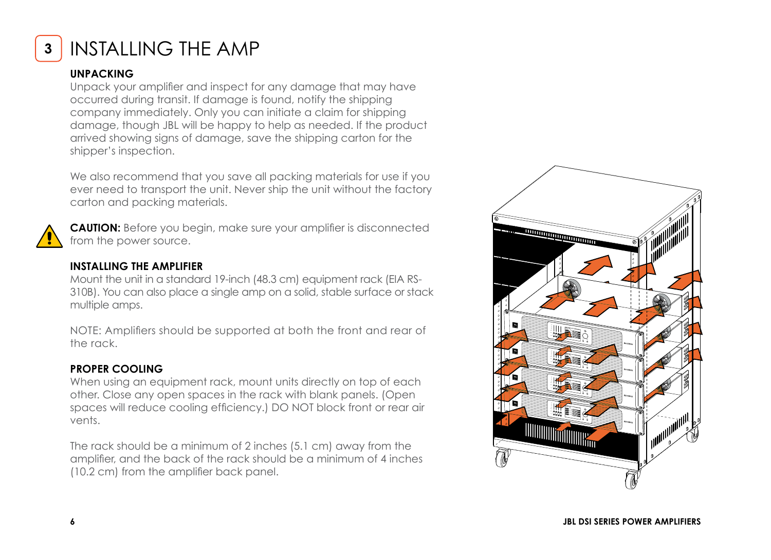

## **<sup>3</sup>** INSTALLING THE AMP

#### **UNPACKING**

Unpack your amplifier and inspect for any damage that may have occurred during transit. If damage is found, notify the shipping company immediately. Only you can initiate a claim for shipping damage, though JBL will be happy to help as needed. If the product arrived showing signs of damage, save the shipping carton for the shipper's inspection.

We also recommend that you save all packing materials for use if you ever need to transport the unit. Never ship the unit without the factory carton and packing materials.



**CAUTION:** Before you begin, make sure your amplifier is disconnected from the power source.

#### **INSTALLING THE AMPLIFIER**

Mount the unit in a standard 19-inch (48.3 cm) equipment rack (EIA RS-310B). You can also place a single amp on a solid, stable surface or stack multiple amps.

NOTE: Amplifiers should be supported at both the front and rear of the rack.

#### **PROPER COOLING**

When using an equipment rack, mount units directly on top of each other. Close any open spaces in the rack with blank panels. (Open spaces will reduce cooling efficiency.) DO NOT block front or rear air vents.

The rack should be a minimum of 2 inches (5.1 cm) away from the amplifier, and the back of the rack should be a minimum of 4 inches (10.2 cm) from the amplifier back panel.

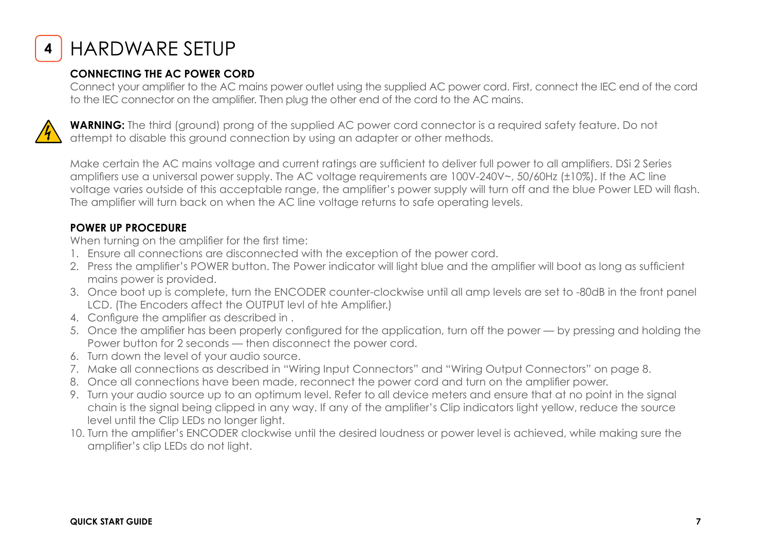

**<sup>4</sup>** HARDWARE SETUP

#### **CONNECTING THE AC POWER CORD**

Connect your amplifier to the AC mains power outlet using the supplied AC power cord. First, connect the IEC end of the cord to the IEC connector on the amplifier. Then plug the other end of the cord to the AC mains.



**WARNING:** The third (ground) prong of the supplied AC power cord connector is a required safety feature. Do not attempt to disable this ground connection by using an adapter or other methods.

Make certain the AC mains voltage and current ratings are sufficient to deliver full power to all amplifiers. DSi 2 Series amplifiers use a universal power supply. The AC voltage requirements are 100V-240V~, 50/60Hz (±10%). If the AC line voltage varies outside of this acceptable range, the amplifier's power supply will turn off and the blue Power LED will flash. The amplifier will turn back on when the AC line voltage returns to safe operating levels.

#### **POWER UP PROCEDURE**

When turning on the amplifier for the first time:

- 1. Ensure all connections are disconnected with the exception of the power cord.
- 2. Press the amplifier's POWER button. The Power indicator will light blue and the amplifier will boot as long as sufficient mains power is provided.
- 3. Once boot up is complete, turn the ENCODER counter-clockwise until all amp levels are set to -80dB in the front panel LCD. (The Encoders affect the OUTPUT levl of hte Amplifier.)
- 4. Configure the amplifier as described in .
- 5. Once the amplifier has been properly configured for the application, turn off the power by pressing and holding the Power button for 2 seconds — then disconnect the power cord.
- 6. Turn down the level of your audio source.
- 7. Make all connections as described in "Wiring Input Connectors" and "Wiring Output Connectors" on page 8.
- 8. Once all connections have been made, reconnect the power cord and turn on the amplifier power.
- 9. Turn your audio source up to an optimum level. Refer to all device meters and ensure that at no point in the signal chain is the signal being clipped in any way. If any of the amplifier's Clip indicators light yellow, reduce the source level until the Clip LEDs no longer light.
- 10. Turn the amplifier's ENCODER clockwise until the desired loudness or power level is achieved, while making sure the amplifier's clip LEDs do not light.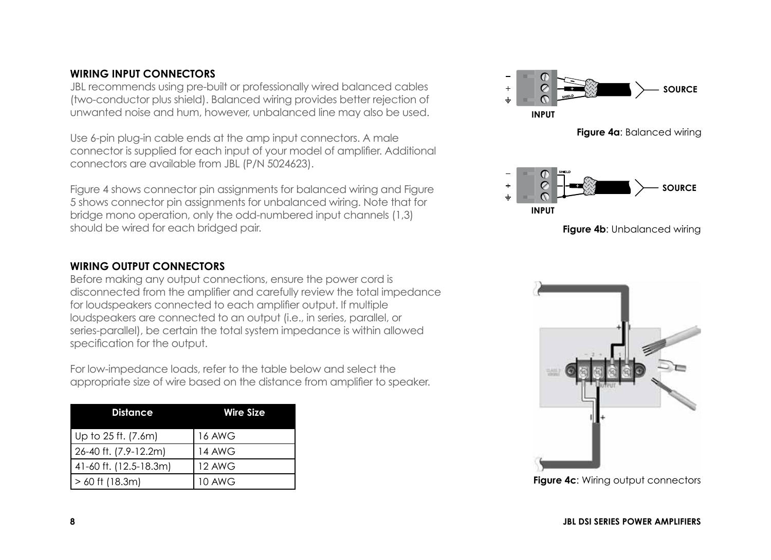#### **WIRING INPUT CONNECTORS**

JBL recommends using pre-built or professionally wired balanced cables (two-conductor plus shield). Balanced wiring provides better rejection of unwanted noise and hum, however, unbalanced line may also be used.

Use 6-pin plug-in cable ends at the amp input connectors. A male connector is supplied for each input of your model of amplifier. Additional connectors are available from JBL (P/N 5024623).

Figure 4 shows connector pin assignments for balanced wiring and Figure 5 shows connector pin assignments for unbalanced wiring. Note that for bridge mono operation, only the odd-numbered input channels (1,3) should be wired for each bridged pair.

#### **WIRING OUTPUT CONNECTORS**

Before making any output connections, ensure the power cord is disconnected from the amplifier and carefully review the total impedance for loudspeakers connected to each amplifier output. If multiple loudspeakers are connected to an output (i.e., in series, parallel, or series-parallel), be certain the total system impedance is within allowed specification for the output.

For low-impedance loads, refer to the table below and select the appropriate size of wire based on the distance from amplifier to speaker.

| <b>Distance</b>        | <b>Wire Size</b> |  |
|------------------------|------------------|--|
| Up to 25 ft. (7.6m)    | <b>16 AWG</b>    |  |
| 26-40 ft. (7.9-12.2m)  | 14 AWG           |  |
| 41-60 ft. (12.5-18.3m) | 12 AWG           |  |
| $> 60$ ft (18.3m)      | 10 AWG           |  |



**Figure 4a**: Balanced wiring



**Figure 4b: Unbalanced wiring** 



**Figure 4c: Wiring output connectors**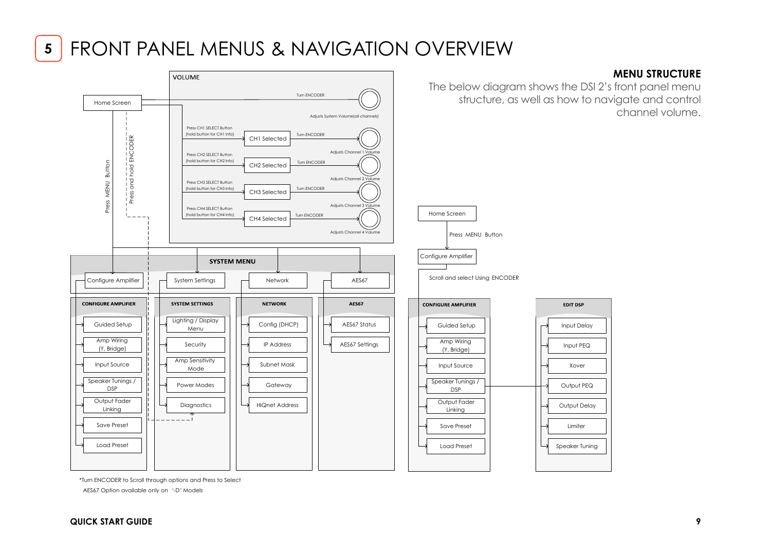## **<sup>5</sup>** FRONT PANEL MENUS & NAVIGATION OVERVIEW



\*Turn ENCODER to Scroll through options and Press to Select

AES67 Option available only on '-D' Models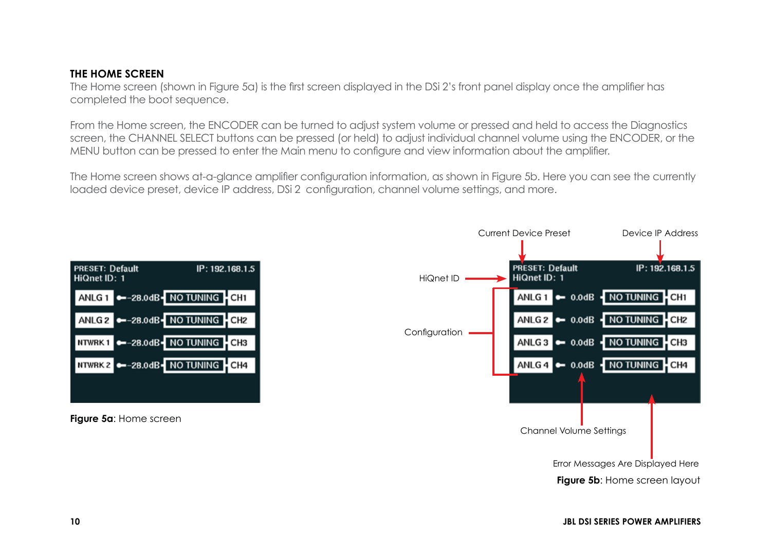#### **THE HOME SCREEN**

The Home screen (shown in Figure 5a) is the first screen displayed in the DSi 2's front panel display once the amplifier has completed the boot sequence.

From the Home screen, the ENCODER can be turned to adjust system volume or pressed and held to access the Diagnostics screen, the CHANNEL SELECT buttons can be pressed (or held) to adjust individual channel volume using the ENCODER, or the MENU button can be pressed to enter the Main menu to configure and view information about the amplifier.

The Home screen shows at-a-glance amplifier configuration information, as shown in Figure 5b. Here you can see the currently loaded device preset, device IP address, DSi 2 configuration, channel volume settings, and more.

| <b>PRESET: Default</b><br>HiQnet ID: 1 | IP: 192.168.1.5                   |  |
|----------------------------------------|-----------------------------------|--|
|                                        | ANLG 1 -28.0dB - NO TUNING - CH1  |  |
|                                        | ANLG 2 -28.0dB - NO TUNING - CH2  |  |
|                                        | NTWRK1 -28.0dB- NO TUNING CH3     |  |
|                                        | NTWRK 2 -28.0dB - NO TUNING - CH4 |  |
|                                        |                                   |  |

**Figure 5a**: Home screen

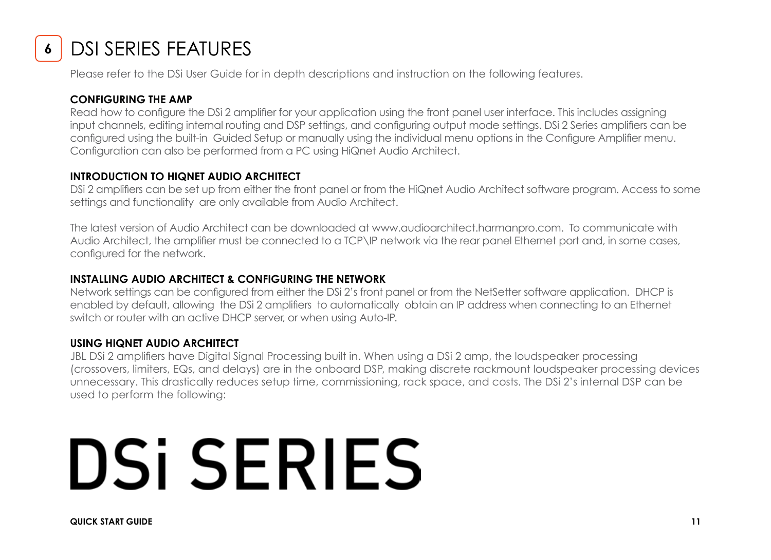

## DSI SERIES FEATURES

Please refer to the DSi User Guide for in depth descriptions and instruction on the following features.

#### **CONFIGURING THE AMP**

Read how to configure the DSi 2 amplifier for your application using the front panel user interface. This includes assigning input channels, editing internal routing and DSP settings, and configuring output mode settings. DSi 2 Series amplifiers can be configured using the built-in Guided Setup or manually using the individual menu options in the Configure Amplifier menu. Configuration can also be performed from a PC using HiQnet Audio Architect.

#### **INTRODUCTION TO HIQNET AUDIO ARCHITECT**

DSi 2 amplifiers can be set up from either the front panel or from the HiQnet Audio Architect software program. Access to some settings and functionality are only available from Audio Architect.

The latest version of Audio Architect can be downloaded at www.audioarchitect.harmanpro.com. To communicate with Audio Architect, the amplifier must be connected to a TCP\IP network via the rear panel Ethernet port and, in some cases, configured for the network.

#### **INSTALLING AUDIO ARCHITECT & CONFIGURING THE NETWORK**

Network settings can be configured from either the DSi 2's front panel or from the NetSetter software application. DHCP is enabled by default, allowing the DSi 2 amplifiers to automatically obtain an IP address when connecting to an Ethernet switch or router with an active DHCP server, or when using Auto-IP.

#### **USING HIQNET AUDIO ARCHITECT**

JBL DSi 2 amplifiers have Digital Signal Processing built in. When using a DSi 2 amp, the loudspeaker processing (crossovers, limiters, EQs, and delays) are in the onboard DSP, making discrete rackmount loudspeaker processing devices unnecessary. This drastically reduces setup time, commissioning, rack space, and costs. The DSi 2's internal DSP can be used to perform the following:

# **DSi SERIES**